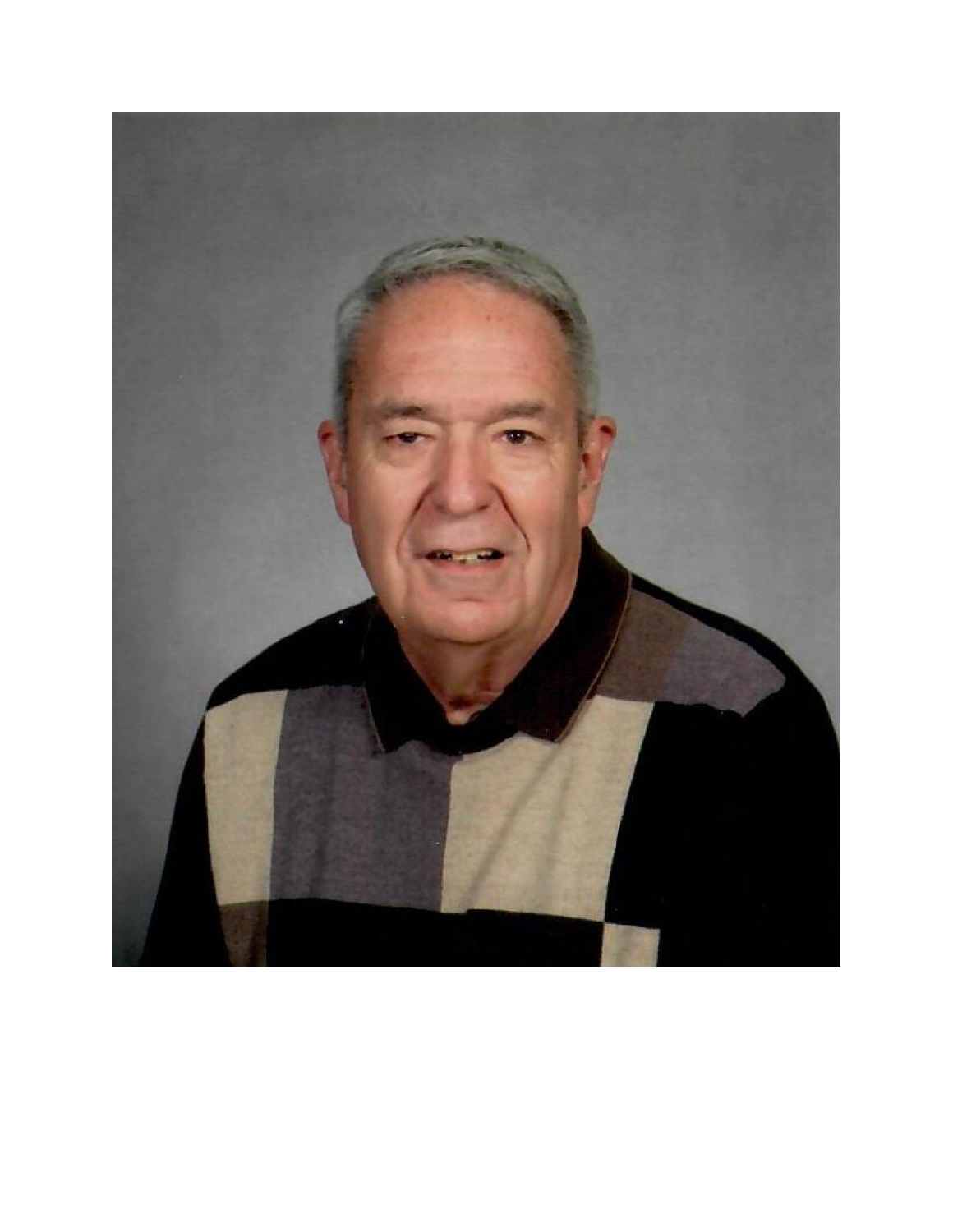